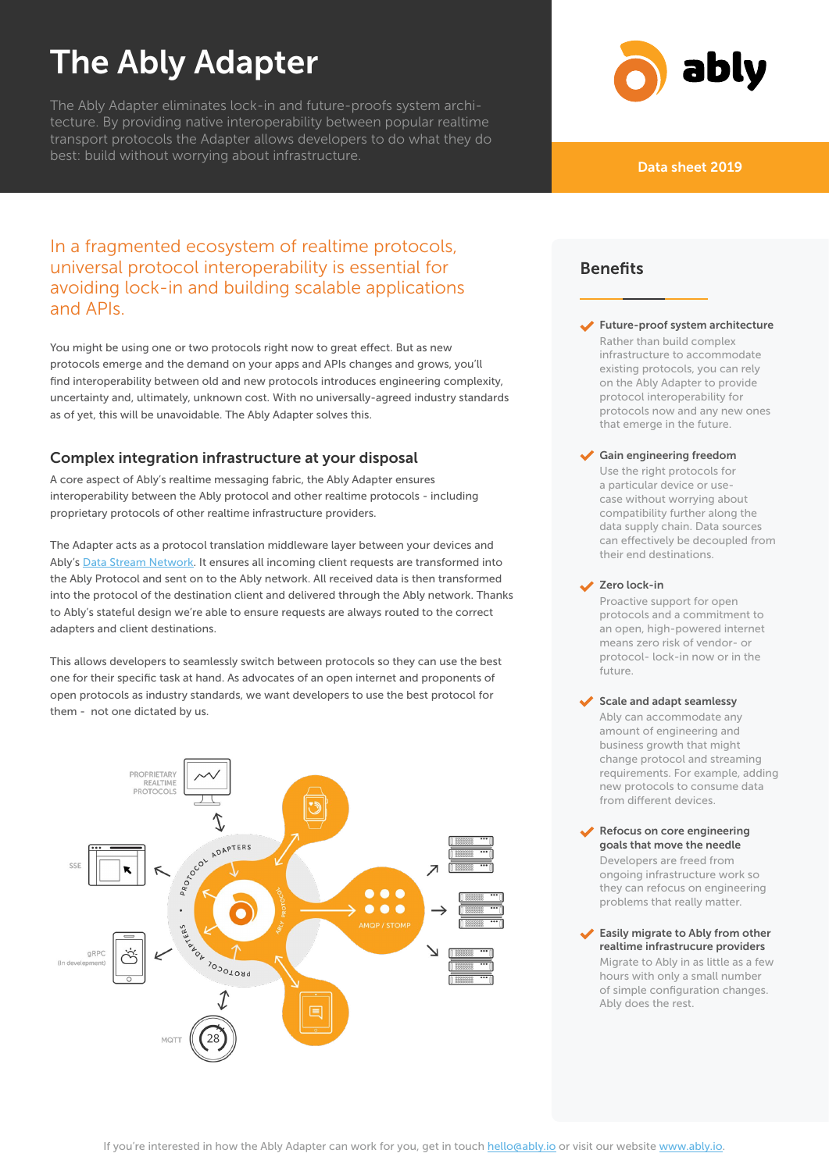# The Ably Adapter

The Ably Adapter eliminates lock-in and future-proofs system architecture. By providing native interoperability between popular realtime transport protocols the Adapter allows developers to do what they do best: build without worrying about infrastructure. The contraction of the contract of the contract of the contra<br>Data sheet 2019



# In a fragmented ecosystem of realtime protocols, universal protocol interoperability is essential for avoiding lock-in and building scalable applications and APIs.

You might be using one or two protocols right now to great effect. But as new protocols emerge and the demand on your apps and APIs changes and grows, you'll find interoperability between old and new protocols introduces engineering complexity, uncertainty and, ultimately, unknown cost. With no universally-agreed industry standards as of yet, this will be unavoidable. The Ably Adapter solves this.

# Complex integration infrastructure at your disposal

A core aspect of Ably's realtime messaging fabric, the Ably Adapter ensures interoperability between the Ably protocol and other realtime protocols - including proprietary protocols of other realtime infrastructure providers.

The Adapter acts as a protocol translation middleware layer between your devices and Ably's [Data Stream Network](https://www.ably.io/network). It ensures all incoming client requests are transformed into the Ably Protocol and sent on to the Ably network. All received data is then transformed into the protocol of the destination client and delivered through the Ably network. Thanks to Ably's stateful design we're able to ensure requests are always routed to the correct adapters and client destinations.

This allows developers to seamlessly switch between protocols so they can use the best one for their specific task at hand. As advocates of an open internet and proponents of open protocols as industry standards, we want developers to use the best protocol for them - not one dictated by us.



# Benefits

Future-proof system architecture Rather than build complex infrastructure to accommodate existing protocols, you can rely on the Ably Adapter to provide protocol interoperability for protocols now and any new ones that emerge in the future.

#### Gain engineering freedom

Use the right protocols for a particular device or usecase without worrying about compatibility further along the data supply chain. Data sources can effectively be decoupled from their end destinations.

#### Zero lock-in

Proactive support for open protocols and a commitment to an open, high-powered internet means zero risk of vendor- or protocol- lock-in now or in the future.

#### $\blacktriangleright$  Scale and adapt seamlessy

Ably can accommodate any amount of engineering and business growth that might change protocol and streaming requirements. For example, adding new protocols to consume data from different devices.

- Refocus on core engineering goals that move the needle Developers are freed from ongoing infrastructure work so they can refocus on engineering problems that really matter.
- Easily migrate to Ably from other realtime infrastrucure providers Migrate to Ably in as little as a few hours with only a small number of simple configuration changes. Ably does the rest.